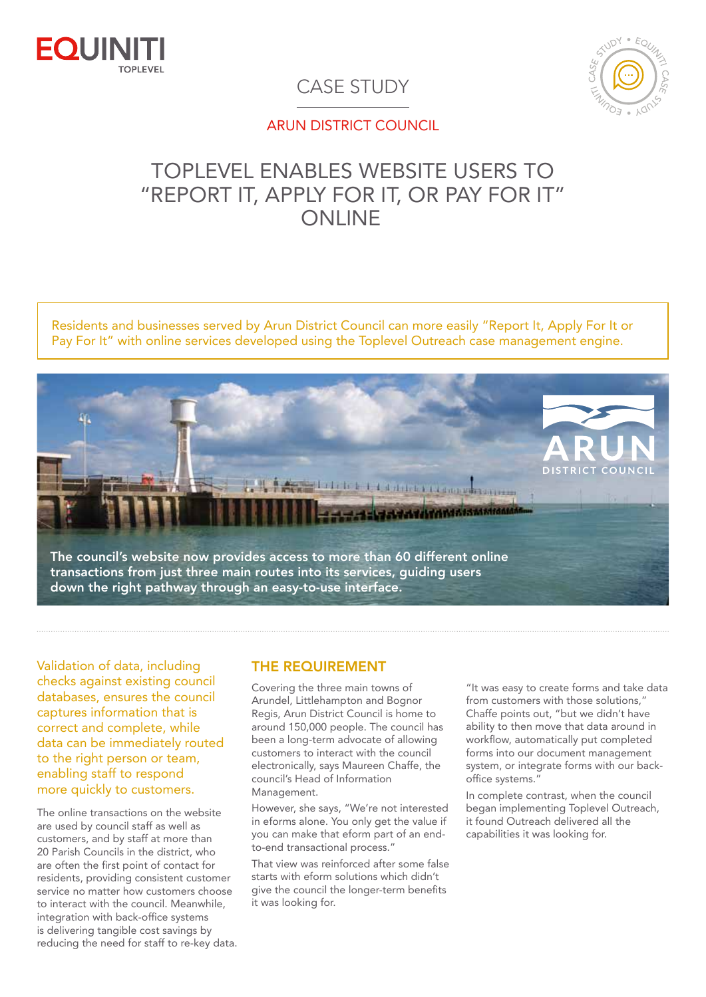



## CASE STUDY

#### ARUN DISTRICT COUNCIL

# TOPLEVEL ENABLES WEBSITE USERS TO "REPORT IT, APPLY FOR IT, OR PAY FOR IT" ONI INF

Residents and businesses served by Arun District Council can more easily "Report It, Apply For It or Pay For It" with online services developed using the Toplevel Outreach case management engine.



Validation of data, including checks against existing council databases, ensures the council captures information that is correct and complete, while data can be immediately routed to the right person or team. enabling staff to respond more quickly to customers.

The online transactions on the website are used by council staff as well as customers, and by staff at more than 20 Parish Councils in the district, who are often the first point of contact for residents, providing consistent customer service no matter how customers choose to interact with the council. Meanwhile, integration with back-office systems is delivering tangible cost savings by reducing the need for staff to re-key data.

### THE REQUIREMENT

Covering the three main towns of Arundel, Littlehampton and Bognor Regis, Arun District Council is home to around 150,000 people. The council has been a long-term advocate of allowing customers to interact with the council electronically, says Maureen Chaffe, the council's Head of Information Management.

However, she says, "We're not interested in eforms alone. You only get the value if you can make that eform part of an endto-end transactional process."

That view was reinforced after some false starts with eform solutions which didn't give the council the longer-term benefits it was looking for.

"It was easy to create forms and take data from customers with those solutions," Chaffe points out, "but we didn't have ability to then move that data around in workflow, automatically put completed forms into our document management system, or integrate forms with our backoffice systems."

In complete contrast, when the council began implementing Toplevel Outreach, it found Outreach delivered all the capabilities it was looking for.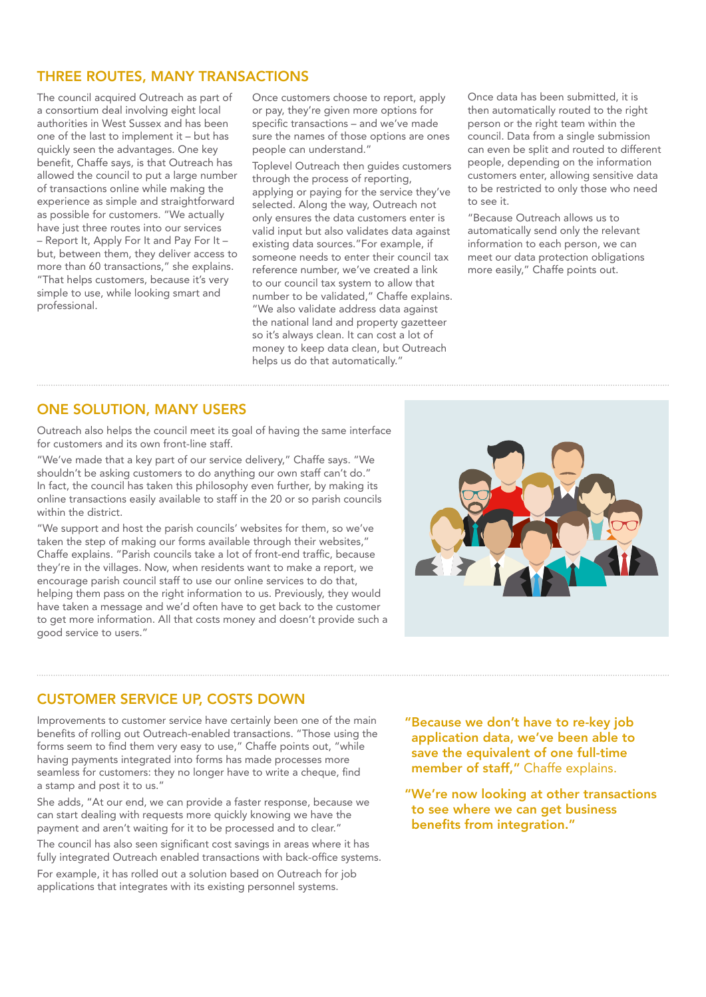#### THREE ROUTES, MANY TRANSACTIONS

The council acquired Outreach as part of a consortium deal involving eight local authorities in West Sussex and has been one of the last to implement it – but has quickly seen the advantages. One key benefit, Chaffe says, is that Outreach has allowed the council to put a large number of transactions online while making the experience as simple and straightforward as possible for customers. "We actually have just three routes into our services – Report It, Apply For It and Pay For It – but, between them, they deliver access to more than 60 transactions," she explains. "That helps customers, because it's very simple to use, while looking smart and professional.

Once customers choose to report, apply or pay, they're given more options for specific transactions – and we've made sure the names of those options are ones people can understand."

Toplevel Outreach then guides customers through the process of reporting, applying or paying for the service they've selected. Along the way, Outreach not only ensures the data customers enter is valid input but also validates data against existing data sources."For example, if someone needs to enter their council tax reference number, we've created a link to our council tax system to allow that number to be validated," Chaffe explains. "We also validate address data against the national land and property gazetteer so it's always clean. It can cost a lot of money to keep data clean, but Outreach helps us do that automatically."

Once data has been submitted, it is then automatically routed to the right person or the right team within the council. Data from a single submission can even be split and routed to different people, depending on the information customers enter, allowing sensitive data to be restricted to only those who need to see it.

"Because Outreach allows us to automatically send only the relevant information to each person, we can meet our data protection obligations more easily," Chaffe points out.

#### ONE SOLUTION, MANY USERS

Outreach also helps the council meet its goal of having the same interface for customers and its own front-line staff.

"We've made that a key part of our service delivery," Chaffe says. "We shouldn't be asking customers to do anything our own staff can't do." In fact, the council has taken this philosophy even further, by making its online transactions easily available to staff in the 20 or so parish councils within the district.

"We support and host the parish councils' websites for them, so we've taken the step of making our forms available through their websites," Chaffe explains. "Parish councils take a lot of front-end traffic, because they're in the villages. Now, when residents want to make a report, we encourage parish council staff to use our online services to do that, helping them pass on the right information to us. Previously, they would have taken a message and we'd often have to get back to the customer to get more information. All that costs money and doesn't provide such a good service to users."



#### CUSTOMER SERVICE UP, COSTS DOWN

Improvements to customer service have certainly been one of the main benefits of rolling out Outreach-enabled transactions. "Those using the forms seem to find them very easy to use," Chaffe points out, "while having payments integrated into forms has made processes more seamless for customers: they no longer have to write a cheque, find a stamp and post it to us."

She adds, "At our end, we can provide a faster response, because we can start dealing with requests more quickly knowing we have the payment and aren't waiting for it to be processed and to clear." The council has also seen significant cost savings in areas where it has fully integrated Outreach enabled transactions with back-office systems. For example, it has rolled out a solution based on Outreach for job applications that integrates with its existing personnel systems.

"Because we don't have to re-key job application data, we've been able to save the equivalent of one full-time member of staff," Chaffe explains.

"We're now looking at other transactions to see where we can get business benefits from integration."